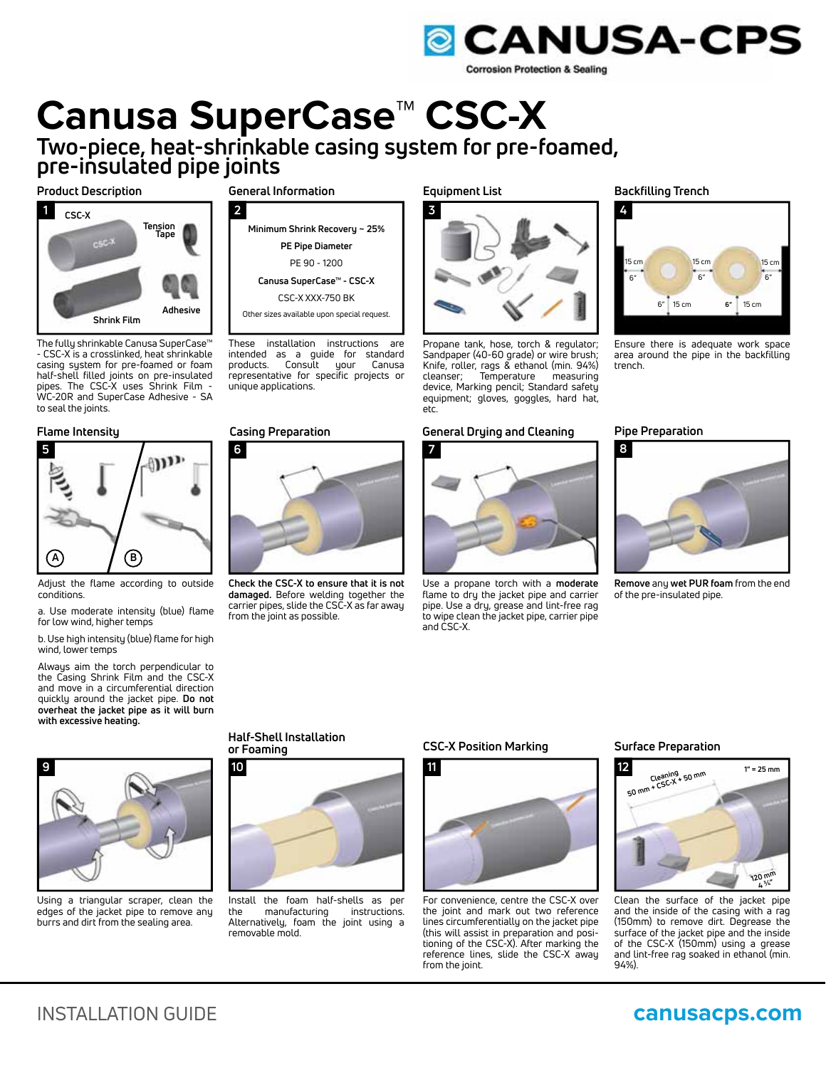

# **Canusa SuperCase™ CSC-X Two-piece, heat-shrinkable casing system for pre-foamed,**

**pre-insulated pipe joints**

## **Product Description General Information**



The fully shrinkable Canusa SuperCase™ - CSC-X is a crosslinked, heat shrinkable casing system for pre-foamed or foam half-shell filled joints on pre-insulated pipes. The CSC-X uses Shrink Film - WC-20R and SuperCase Adhesive - SA to seal the joints.



Adjust the flame according to outside conditions.

a. Use moderate intensity (blue) flame for low wind, higher temps

b. Use high intensity (blue) flame for high wind, lower temps

Always aim the torch perpendicular to the Casing Shrink Film and the CSC-X and move in a circumferential direction quickly around the jacket pipe. **Do not overheat the jacket pipe as it will burn with excessive heating.**



Using a triangular scraper, clean the edges of the jacket pipe to remove any burrs and dirt from the sealing area.



These installation instructions are intended as a guide for standard products. Consult your Canusa representative for specific projects or unique applications.

**10**

**or Foaming**

**Half-Shell Installation**



**Check the CSC-X to ensure that it is not damaged.** Before welding together the carrier pipes, slide the CSC-X as far away from the joint as possible.

Install the foam half-shells as per<br>the manufacturing instructions. manufacturing Alternatively, foam the joint using a

removable mold.

#### **Equipment List**



Propane tank, hose, torch & regulator; Sandpaper (40-60 grade) or wire brush; Knife, roller, rags & ethanol (min. 94%) cleanser; Temperature measuring device, Marking pencil; Standard safety equipment; gloves, goggles, hard hat, etc.

#### **Flame Intensity Casing Preparation Pipe Preparation General Drying and Cleaning**



Use a propane torch with a **moderate** flame to dry the jacket pipe and carrier pipe. Use a dry, grease and lint-free rag to wipe clean the jacket pipe, carrier pipe and CSC-X.

**Backfilling Trench**



Ensure there is adequate work space area around the pipe in the backfilling trench.



**Remove** any **wet PUR foam** from the end of the pre-insulated pipe.



#### **CSC-X Position Marking**



For convenience, centre the CSC-X over the joint and mark out two reference lines circumferentially on the jacket pipe (this will assist in preparation and positioning of the CSC-X). After marking the reference lines, slide the CSC-X away from the joint.

#### **Surface Preparation**



Clean the surface of the jacket pipe and the inside of the casing with a rag (150mm) to remove dirt. Degrease the surface of the jacket pipe and the inside of the CSC-X (150mm) using a grease and lint-free rag soaked in ethanol (min. 94%).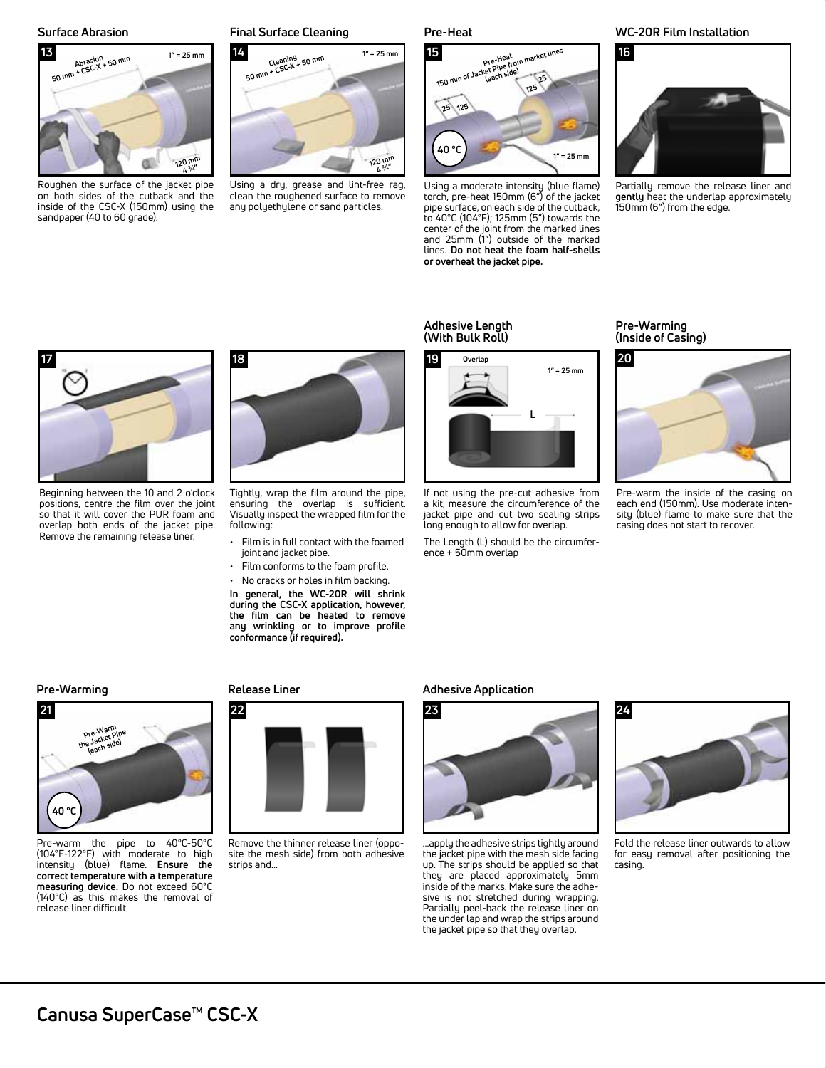

Roughen the surface of the jacket pipe on both sides of the cutback and the inside of the CSC-X (150mm) using the sandpaper (40 to 60 grade).

#### **Surface Abrasion Final Surface Cleaning**



Using a dry, grease and lint-free rag, clean the roughened surface to remove any polyethylene or sand particles.

#### **Pre-Heat**



Using a moderate intensity (blue flame) torch, pre-heat 150mm (6") of the jacket pipe surface, on each side of the cutback, to 40°C (104°F); 125mm (5") towards the center of the joint from the marked lines and 25mm (1") outside of the marked lines. **Do not heat the foam half-shells or overheat the jacket pipe.**

#### **WC-20R Film Installation**



Partially remove the release liner and **gently** heat the underlap approximately 150mm (6") from the edge.



Beginning between the 10 and 2 o'clock positions, centre the film over the joint so that it will cover the PUR foam and overlap both ends of the jacket pipe. Remove the remaining release liner.



Tightly, wrap the film around the pipe, ensuring the overlap is sufficient. Visually inspect the wrapped film for the following:

- Film is in full contact with the foamed joint and jacket pipe.
- Film conforms to the foam profile.
- No cracks or holes in film backing.

**In general, the WC-20R will shrink during the CSC-X application, however, the film can be heated to remove any wrinkling or to improve profile conformance (if required).**

#### **Adhesive Length (With Bulk Roll)**



If not using the pre-cut adhesive from a kit, measure the circumference of the jacket pipe and cut two sealing strips long enough to allow for overlap.

The Length (L) should be the circumference + 50mm overlap

### **Pre-Warming (Inside of Casing)**



Pre-warm the inside of the casing on each end (150mm). Use moderate intensity (blue) flame to make sure that the casing does not start to recover.

# **Pre-Warming**



Pre-warm the pipe to 40°C-50°C (104°F-122°F) with moderate to high intensity (blue) flame. **Ensure the correct temperature with a temperature measuring device.** Do not exceed 60°C (140°C) as this makes the removal of release liner difficult.

#### **Release Liner**



Remove the thinner release liner (opposite the mesh side) from both adhesive strips and...

#### **Adhesive Application**



...apply the adhesive strips tightly around the jacket pipe with the mesh side facing up. The strips should be applied so that they are placed approximately 5mm inside of the marks. Make sure the adhesive is not stretched during wrapping. Partially peel-back the release liner on the under lap and wrap the strips around the jacket pipe so that they overlap.



Fold the release liner outwards to allow for easy removal after positioning the casing.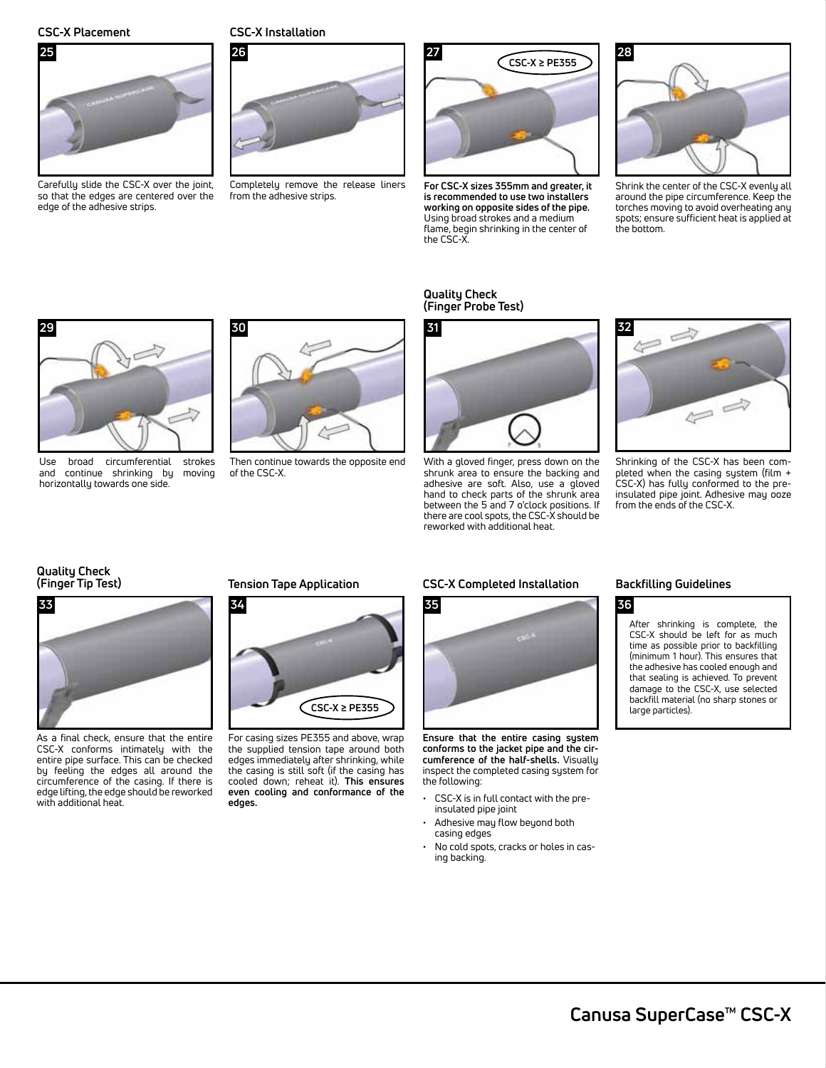

Carefully slide the CSC-X over the joint, so that the edges are centered over the edge of the adhesive strips.

## **CSC-X Placement CSC-X Installation**



Completely remove the release liners from the adhesive strips.



**For CSC-X sizes 355mm and greater, it is recommended to use two installers working on opposite sides of the pipe.** Using broad strokes and a medium flame, begin shrinking in the center of the CSC-X.

### **Quality Check (Finger Probe Test)**



Shrink the center of the CSC-X evenly all around the pipe circumference. Keep the torches moving to avoid overheating any spots; ensure sufficient heat is applied at the bottom.



Use broad circumferential strokes<br>and continue shrinking by moving and continue shrinking by horizontally towards one side.



Then continue towards the opposite end of the CSC-X.



With a gloved finger, press down on the shrunk area to ensure the backing and adhesive are soft. Also, use a gloved hand to check parts of the shrunk area between the 5 and 7 o'clock positions. If there are cool spots, the CSC-X should be reworked with additional heat.



Shrinking of the CSC-X has been completed when the casing system (film + CSC-X) has fully conformed to the preinsulated pipe joint. Adhesive may ooze from the ends of the CSC-X.

# **Quality Check**



As a final check, ensure that the entire CSC-X conforms intimately with the entire pipe surface. This can be checked by feeling the edges all around the circumference of the casing. If there is edge lifting, the edge should be reworked with additional heat.

### **(Finger Tip Test) Tension Tape Application**



For casing sizes PE355 and above, wrap the supplied tension tape around both edges immediately after shrinking, while the casing is still soft (if the casing has cooled down; reheat it). **This ensures even cooling and conformance of the edges.**

### **CSC-X Completed Installation**



**Ensure that the entire casing system conforms to the jacket pipe and the circumference of the half-shells.** Visually inspect the completed casing system for the following:

- CSC-X is in full contact with the preinsulated pipe joint
- Adhesive may flow beyond both casing edges
- No cold spots, cracks or holes in casing backing.

### **Backfilling Guidelines**

# **36**

After shrinking is complete, the CSC-X should be left for as much time as possible prior to backfilling (minimum 1 hour). This ensures that the adhesive has cooled enough and that sealing is achieved. To prevent damage to the CSC-X, use selected backfill material (no sharp stones or large particles).